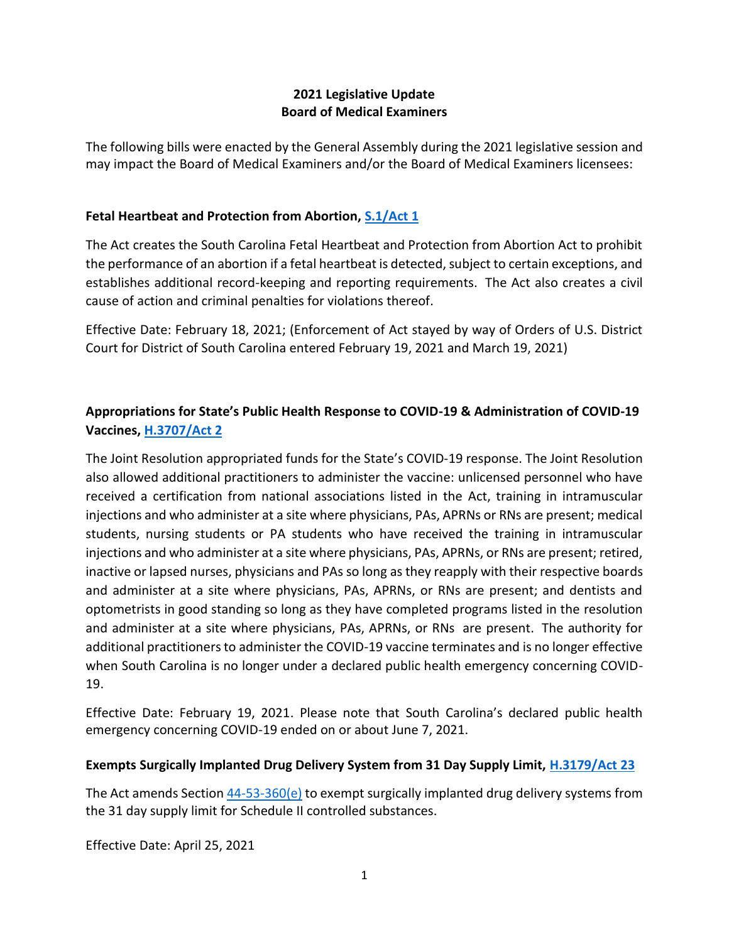### **2021 Legislative Update Board of Medical Examiners**

The following bills were enacted by the General Assembly during the 2021 legislative session and may impact the Board of Medical Examiners and/or the Board of Medical Examiners licensees:

## **Fetal Heartbeat and Protection from Abortion, [S.1/Act 1](https://www.scstatehouse.gov/sess124_2021-2022/bills/1.htm)**

The Act creates the South Carolina Fetal Heartbeat and Protection from Abortion Act to prohibit the performance of an abortion if a fetal heartbeat is detected, subject to certain exceptions, and establishes additional record-keeping and reporting requirements. The Act also creates a civil cause of action and criminal penalties for violations thereof.

Effective Date: February 18, 2021; (Enforcement of Act stayed by way of Orders of U.S. District Court for District of South Carolina entered February 19, 2021 and March 19, 2021)

# **Appropriations for State's Public Health Response to COVID-19 & Administration of COVID-19 Vaccines, [H.3707/Act 2](https://www.scstatehouse.gov/sess124_2021-2022/bills/3707.htm)**

The Joint Resolution appropriated funds for the State's COVID-19 response. The Joint Resolution also allowed additional practitioners to administer the vaccine: unlicensed personnel who have received a certification from national associations listed in the Act, training in intramuscular injections and who administer at a site where physicians, PAs, APRNs or RNs are present; medical students, nursing students or PA students who have received the training in intramuscular injections and who administer at a site where physicians, PAs, APRNs, or RNs are present; retired, inactive or lapsed nurses, physicians and PAs so long as they reapply with their respective boards and administer at a site where physicians, PAs, APRNs, or RNs are present; and dentists and optometrists in good standing so long as they have completed programs listed in the resolution and administer at a site where physicians, PAs, APRNs, or RNs are present. The authority for additional practitioners to administer the COVID-19 vaccine terminates and is no longer effective when South Carolina is no longer under a declared public health emergency concerning COVID-19.

Effective Date: February 19, 2021. Please note that South Carolina's declared public health emergency concerning COVID-19 ended on or about June 7, 2021.

### **Exempts Surgically Implanted Drug Delivery System from 31 Day Supply Limit, [H.3179/Act 23](https://www.scstatehouse.gov/sess124_2021-2022/bills/3179.htm)**

The Act amends Section  $44-53-360(e)$  to exempt surgically implanted drug delivery systems from the 31 day supply limit for Schedule II controlled substances.

Effective Date: April 25, 2021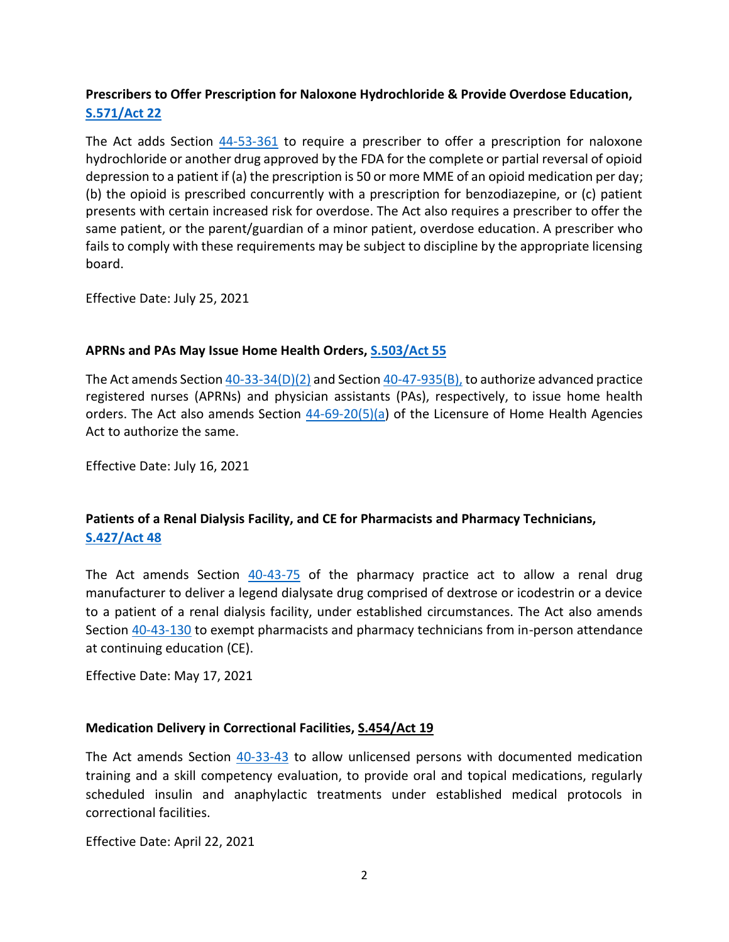## **Prescribers to Offer Prescription for Naloxone Hydrochloride & Provide Overdose Education, [S.571/Act 22](https://www.scstatehouse.gov/sess124_2021-2022/bills/571.htm)**

The Act adds Section  $44-53-361$  to require a prescriber to offer a prescription for naloxone hydrochloride or another drug approved by the FDA for the complete or partial reversal of opioid depression to a patient if (a) the prescription is 50 or more MME of an opioid medication per day; (b) the opioid is prescribed concurrently with a prescription for benzodiazepine, or (c) patient presents with certain increased risk for overdose. The Act also requires a prescriber to offer the same patient, or the parent/guardian of a minor patient, overdose education. A prescriber who fails to comply with these requirements may be subject to discipline by the appropriate licensing board.

Effective Date: July 25, 2021

### **APRNs and PAs May Issue Home Health Orders, [S.503/Act 55](https://www.scstatehouse.gov/sess124_2021-2022/bills/503.htm)**

The Act amends Section  $40-33-34(D)(2)$  and Section  $40-47-935(B)$ , to authorize advanced practice registered nurses (APRNs) and physician assistants (PAs), respectively, to issue home health orders. The Act also amends Section [44-69-20\(5\)\(a\)](https://www.scstatehouse.gov/code/t44c069.php#44-69-20) of the Licensure of Home Health Agencies Act to authorize the same.

Effective Date: July 16, 2021

## **Patients of a Renal Dialysis Facility, and CE for Pharmacists and Pharmacy Technicians, [S.427/Act 48](https://www.scstatehouse.gov/sess124_2021-2022/bills/427.htm)**

The Act amends Section  $40-43-75$  of the pharmacy practice act to allow a renal drug manufacturer to deliver a legend dialysate drug comprised of dextrose or icodestrin or a device to a patient of a renal dialysis facility, under established circumstances. The Act also amends Section [40-43-130](https://www.scstatehouse.gov/code/t40c043.php#40-43-130) to exempt pharmacists and pharmacy technicians from in-person attendance at continuing education (CE).

Effective Date: May 17, 2021

### **Medication Delivery in Correctional Facilities[, S.454/Act 19](https://www.scstatehouse.gov/sess124_2021-2022/bills/454.htm)**

The Act amends Section [40-33-43](https://www.scstatehouse.gov/code/t40c033.php#40-33-43) to allow unlicensed persons with documented medication training and a skill competency evaluation, to provide oral and topical medications, regularly scheduled insulin and anaphylactic treatments under established medical protocols in correctional facilities.

Effective Date: April 22, 2021